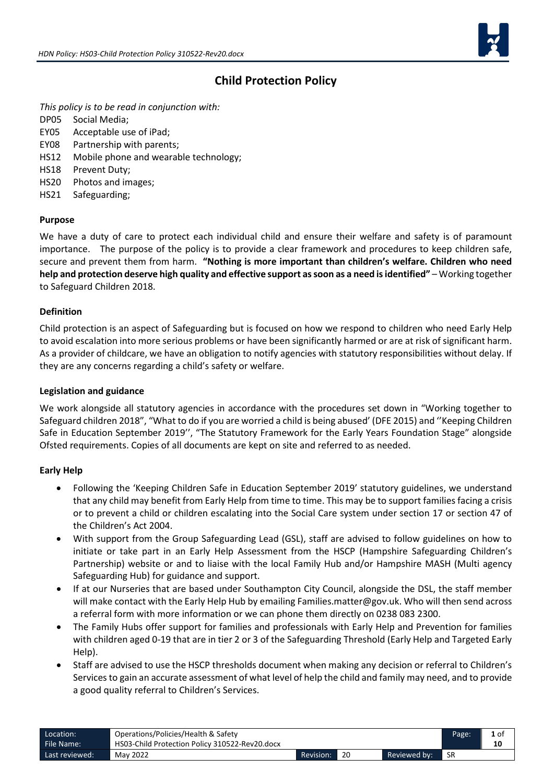

## **Child Protection Policy**

*This policy is to be read in conjunction with:* 

- DP05 Social Media;
- EY05 Acceptable use of iPad;
- EY08 Partnership with parents;
- HS12 Mobile phone and wearable technology;
- HS18 Prevent Duty;
- HS20 Photos and images;
- HS21 Safeguarding;

#### **Purpose**

We have a duty of care to protect each individual child and ensure their welfare and safety is of paramount importance. The purpose of the policy is to provide a clear framework and procedures to keep children safe, secure and prevent them from harm. **"Nothing is more important than children's welfare. Children who need help and protection deserve high quality and effective support as soon as a need is identified"** – Working together to Safeguard Children 2018.

#### **Definition**

Child protection is an aspect of Safeguarding but is focused on how we respond to children who need Early Help to avoid escalation into more serious problems or have been significantly harmed or are at risk of significant harm. As a provider of childcare, we have an obligation to notify agencies with statutory responsibilities without delay. If they are any concerns regarding a child's safety or welfare.

#### **Legislation and guidance**

We work alongside all statutory agencies in accordance with the procedures set down in "Working together to Safeguard children 2018", "What to do if you are worried a child is being abused' (DFE 2015) and ''Keeping Children Safe in Education September 2019'', "The Statutory Framework for the Early Years Foundation Stage" alongside Ofsted requirements. Copies of all documents are kept on site and referred to as needed.

#### **Early Help**

- Following the 'Keeping Children Safe in Education September 2019' statutory guidelines, we understand that any child may benefit from Early Help from time to time. This may be to support families facing a crisis or to prevent a child or children escalating into the Social Care system under section 17 or section 47 of the Children's Act 2004.
- With support from the Group Safeguarding Lead (GSL), staff are advised to follow guidelines on how to initiate or take part in an Early Help Assessment from the HSCP (Hampshire Safeguarding Children's Partnership) website or and to liaise with the local Family Hub and/or Hampshire MASH (Multi agency Safeguarding Hub) for guidance and support.
- If at our Nurseries that are based under Southampton City Council, alongside the DSL, the staff member will make contact with the Early Help Hub by emailing Families.matter@gov.uk. Who will then send across a referral form with more information or we can phone them directly on 0238 083 2300.
- The Family Hubs offer support for families and professionals with Early Help and Prevention for families with children aged 0-19 that are in tier 2 or 3 of the Safeguarding Threshold (Early Help and Targeted Early Help).
- Staff are advised to use the HSCP thresholds document when making any decision or referral to Children's Services to gain an accurate assessment of what level of help the child and family may need, and to provide a good quality referral to Children's Services.

| Location:      | Operations/Policies/Health & Safety            |           |    |              | Page: |    |
|----------------|------------------------------------------------|-----------|----|--------------|-------|----|
| File Name:     | HS03-Child Protection Policy 310522-Rev20.docx |           |    |              |       | 10 |
| Last reviewed: | May 2022                                       | Revision: | 20 | Reviewed by: | -SR   |    |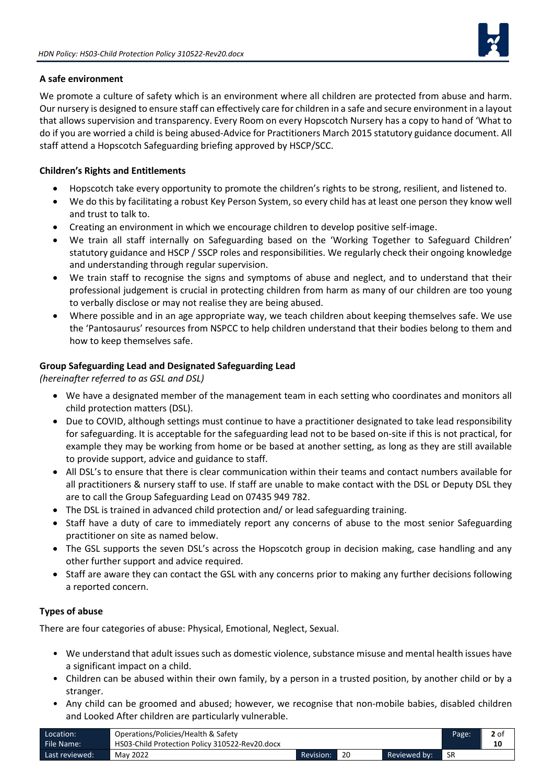

### **A safe environment**

We promote a culture of safety which is an environment where all children are protected from abuse and harm. Our nursery is designed to ensure staff can effectively care for children in a safe and secure environment in a layout that allows supervision and transparency. Every Room on every Hopscotch Nursery has a copy to hand of 'What to do if you are worried a child is being abused-Advice for Practitioners March 2015 statutory guidance document. All staff attend a Hopscotch Safeguarding briefing approved by HSCP/SCC.

## **Children's Rights and Entitlements**

- Hopscotch take every opportunity to promote the children's rights to be strong, resilient, and listened to.
- We do this by facilitating a robust Key Person System, so every child has at least one person they know well and trust to talk to.
- Creating an environment in which we encourage children to develop positive self-image.
- We train all staff internally on Safeguarding based on the 'Working Together to Safeguard Children' statutory guidance and HSCP / SSCP roles and responsibilities. We regularly check their ongoing knowledge and understanding through regular supervision.
- We train staff to recognise the signs and symptoms of abuse and neglect, and to understand that their professional judgement is crucial in protecting children from harm as many of our children are too young to verbally disclose or may not realise they are being abused.
- Where possible and in an age appropriate way, we teach children about keeping themselves safe. We use the 'Pantosaurus' resources from NSPCC to help children understand that their bodies belong to them and how to keep themselves safe.

#### **Group Safeguarding Lead and Designated Safeguarding Lead**

*(hereinafter referred to as GSL and DSL)*

- We have a designated member of the management team in each setting who coordinates and monitors all child protection matters (DSL).
- Due to COVID, although settings must continue to have a practitioner designated to take lead responsibility for safeguarding. It is acceptable for the safeguarding lead not to be based on-site if this is not practical, for example they may be working from home or be based at another setting, as long as they are still available to provide support, advice and guidance to staff.
- All DSL's to ensure that there is clear communication within their teams and contact numbers available for all practitioners & nursery staff to use. If staff are unable to make contact with the DSL or Deputy DSL they are to call the Group Safeguarding Lead on 07435 949 782.
- The DSL is trained in advanced child protection and/ or lead safeguarding training.
- Staff have a duty of care to immediately report any concerns of abuse to the most senior Safeguarding practitioner on site as named below.
- The GSL supports the seven DSL's across the Hopscotch group in decision making, case handling and any other further support and advice required.
- Staff are aware they can contact the GSL with any concerns prior to making any further decisions following a reported concern.

#### **Types of abuse**

There are four categories of abuse: Physical, Emotional, Neglect, Sexual.

- We understand that adult issues such as domestic violence, substance misuse and mental health issues have a significant impact on a child.
- Children can be abused within their own family, by a person in a trusted position, by another child or by a stranger.
- Any child can be groomed and abused; however, we recognise that non-mobile babies, disabled children and Looked After children are particularly vulnerable.

| Location:        | Operations/Policies/Health & Safety            |           |              | Page: | 2 of |
|------------------|------------------------------------------------|-----------|--------------|-------|------|
| File Name:       | HS03-Child Protection Policy 310522-Rev20.docx |           |              |       | 10   |
| Last reviewed: ' | May 2022                                       | Revision: | Reviewed by: | ∎ SR  |      |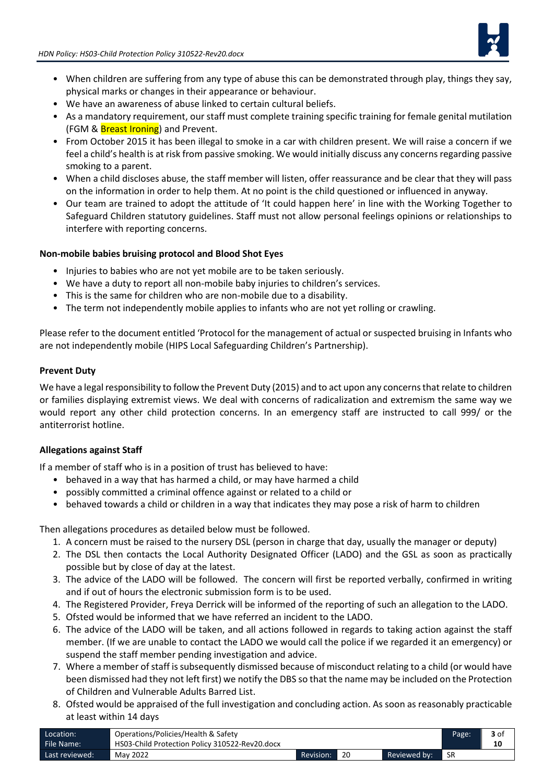

- When children are suffering from any type of abuse this can be demonstrated through play, things they say, physical marks or changes in their appearance or behaviour.
- We have an awareness of abuse linked to certain cultural beliefs.
- As a mandatory requirement, our staff must complete training specific training for female genital mutilation (FGM & Breast Ironing) and Prevent.
- From October 2015 it has been illegal to smoke in a car with children present. We will raise a concern if we feel a child's health is at risk from passive smoking. We would initially discuss any concerns regarding passive smoking to a parent.
- When a child discloses abuse, the staff member will listen, offer reassurance and be clear that they will pass on the information in order to help them. At no point is the child questioned or influenced in anyway.
- Our team are trained to adopt the attitude of 'It could happen here' in line with the Working Together to Safeguard Children statutory guidelines. Staff must not allow personal feelings opinions or relationships to interfere with reporting concerns.

#### **Non-mobile babies bruising protocol and Blood Shot Eyes**

- Injuries to babies who are not yet mobile are to be taken seriously.
- We have a duty to report all non-mobile baby injuries to children's services.
- This is the same for children who are non-mobile due to a disability.
- The term not independently mobile applies to infants who are not yet rolling or crawling.

Please refer to the document entitled 'Protocol for the management of actual or suspected bruising in Infants who are not independently mobile (HIPS Local Safeguarding Children's Partnership).

#### **Prevent Duty**

We have a legal responsibility to follow the Prevent Duty (2015) and to act upon any concerns that relate to children or families displaying extremist views. We deal with concerns of radicalization and extremism the same way we would report any other child protection concerns. In an emergency staff are instructed to call 999/ or the antiterrorist hotline.

#### **Allegations against Staff**

If a member of staff who is in a position of trust has believed to have:

- behaved in a way that has harmed a child, or may have harmed a child
- possibly committed a criminal offence against or related to a child or
- behaved towards a child or children in a way that indicates they may pose a risk of harm to children

Then allegations procedures as detailed below must be followed.

- 1. A concern must be raised to the nursery DSL (person in charge that day, usually the manager or deputy)
- 2. The DSL then contacts the Local Authority Designated Officer (LADO) and the GSL as soon as practically possible but by close of day at the latest.
- 3. The advice of the LADO will be followed. The concern will first be reported verbally, confirmed in writing and if out of hours the electronic submission form is to be used.
- 4. The Registered Provider, Freya Derrick will be informed of the reporting of such an allegation to the LADO.
- 5. Ofsted would be informed that we have referred an incident to the LADO.
- 6. The advice of the LADO will be taken, and all actions followed in regards to taking action against the staff member. (If we are unable to contact the LADO we would call the police if we regarded it an emergency) or suspend the staff member pending investigation and advice.
- 7. Where a member of staff is subsequently dismissed because of misconduct relating to a child (or would have been dismissed had they not left first) we notify the DBS so that the name may be included on the Protection of Children and Vulnerable Adults Barred List.
- 8. Ofsted would be appraised of the full investigation and concluding action. As soon as reasonably practicable at least within 14 days

| Location:      | Operations/Policies/Health & Safety            |           |    |              | Page: | 3 of |
|----------------|------------------------------------------------|-----------|----|--------------|-------|------|
| File Name:     | HS03-Child Protection Policy 310522-Rev20.docx |           |    |              |       | 10   |
| Last reviewed: | May 2022                                       | Revision: | 20 | Reviewed by: | -SR   |      |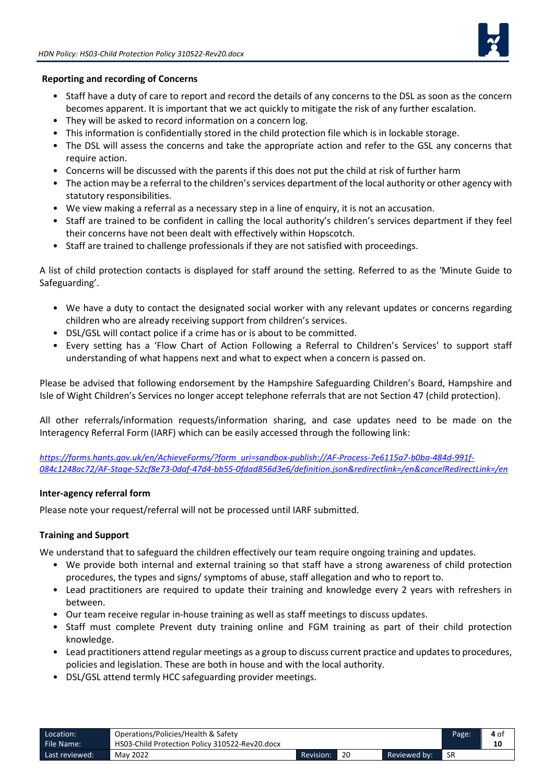

#### **Reporting and recording of Concerns**

- Staff have a duty of care to report and record the details of any concerns to the DSL as soon as the concern becomes apparent. It is important that we act quickly to mitigate the risk of any further escalation.
- They will be asked to record information on a concern log.
- This information is confidentially stored in the child protection file which is in lockable storage.
- The DSL will assess the concerns and take the appropriate action and refer to the GSL any concerns that require action.
- Concerns will be discussed with the parents if this does not put the child at risk of further harm
- The action may be a referral to the children's services department of the local authority or other agency with statutory responsibilities.
- We view making a referral as a necessary step in a line of enquiry, it is not an accusation.
- Staff are trained to be confident in calling the local authority's children's services department if they feel their concerns have not been dealt with effectively within Hopscotch.
- Staff are trained to challenge professionals if they are not satisfied with proceedings.

A list of child protection contacts is displayed for staff around the setting. Referred to as the 'Minute Guide to Safeguarding'.

- We have a duty to contact the designated social worker with any relevant updates or concerns regarding children who are already receiving support from children's services.
- DSL/GSL will contact police if a crime has or is about to be committed.
- Every setting has a 'Flow Chart of Action Following a Referral to Children's Services' to support staff understanding of what happens next and what to expect when a concern is passed on.

Please be advised that following endorsement by the Hampshire Safeguarding Children's Board, Hampshire and Isle of Wight Children's Services no longer accept telephone referrals that are not Section 47 (child protection).

All other referrals/information requests/information sharing, and case updates need to be made on the Interagency Referral Form (IARF) which can be easily accessed through the following link:

*[https://forms.hants.gov.uk/en/AchieveForms/?form\\_uri=sandbox-publish://AF-Process-7e6115a7-b0ba-484d-991f-](https://forms.hants.gov.uk/en/AchieveForms/?form_uri=sandbox-publish://AF-Process-7e6115a7-b0ba-484d-991f-084c1248ac72/AF-Stage-52cf8e73-0daf-47d4-bb55-0fdad856d3e6/definition.json&redirectlink=/en&cancelRedirectLink=/en)[084c1248ac72/AF-Stage-52cf8e73-0daf-47d4-bb55-0fdad856d3e6/definition.json&redirectlink=/en&cancelRedirectLink=/en](https://forms.hants.gov.uk/en/AchieveForms/?form_uri=sandbox-publish://AF-Process-7e6115a7-b0ba-484d-991f-084c1248ac72/AF-Stage-52cf8e73-0daf-47d4-bb55-0fdad856d3e6/definition.json&redirectlink=/en&cancelRedirectLink=/en)*

#### **Inter-agency referral form**

Please note your request/referral will not be processed until IARF submitted.

#### **Training and Support**

We understand that to safeguard the children effectively our team require ongoing training and updates.

- We provide both internal and external training so that staff have a strong awareness of child protection procedures, the types and signs/ symptoms of abuse, staff allegation and who to report to.
- Lead practitioners are required to update their training and knowledge every 2 years with refreshers in between.
- Our team receive regular in-house training as well as staff meetings to discuss updates.
- Staff must complete Prevent duty training online and FGM training as part of their child protection knowledge.
- Lead practitioners attend regular meetings as a group to discuss current practice and updates to procedures, policies and legislation. These are both in house and with the local authority.
- DSL/GSL attend termly HCC safeguarding provider meetings.

| Location:      | Operations/Policies/Health & Safety            |           |    |              | Page: | 4 of |
|----------------|------------------------------------------------|-----------|----|--------------|-------|------|
| File Name:     | HS03-Child Protection Policy 310522-Rev20.docx |           |    |              |       | 10   |
| Last reviewed: | May 2022                                       | Revision: | 20 | Reviewed by: | -SR   |      |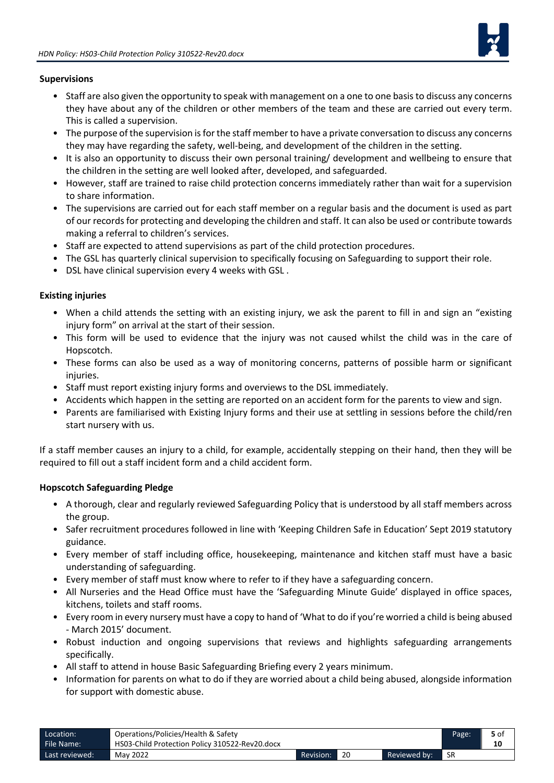

#### **Supervisions**

- Staff are also given the opportunity to speak with management on a one to one basis to discuss any concerns they have about any of the children or other members of the team and these are carried out every term. This is called a supervision.
- The purpose of the supervision is for the staff member to have a private conversation to discuss any concerns they may have regarding the safety, well-being, and development of the children in the setting.
- It is also an opportunity to discuss their own personal training/ development and wellbeing to ensure that the children in the setting are well looked after, developed, and safeguarded.
- However, staff are trained to raise child protection concerns immediately rather than wait for a supervision to share information.
- The supervisions are carried out for each staff member on a regular basis and the document is used as part of our records for protecting and developing the children and staff. It can also be used or contribute towards making a referral to children's services.
- Staff are expected to attend supervisions as part of the child protection procedures.
- The GSL has quarterly clinical supervision to specifically focusing on Safeguarding to support their role.
- DSL have clinical supervision every 4 weeks with GSL .

#### **Existing injuries**

- When a child attends the setting with an existing injury, we ask the parent to fill in and sign an "existing injury form" on arrival at the start of their session.
- This form will be used to evidence that the injury was not caused whilst the child was in the care of Hopscotch.
- These forms can also be used as a way of monitoring concerns, patterns of possible harm or significant injuries.
- Staff must report existing injury forms and overviews to the DSL immediately.
- Accidents which happen in the setting are reported on an accident form for the parents to view and sign.
- Parents are familiarised with Existing Injury forms and their use at settling in sessions before the child/ren start nursery with us.

If a staff member causes an injury to a child, for example, accidentally stepping on their hand, then they will be required to fill out a staff incident form and a child accident form.

#### **Hopscotch Safeguarding Pledge**

- A thorough, clear and regularly reviewed Safeguarding Policy that is understood by all staff members across the group.
- Safer recruitment procedures followed in line with 'Keeping Children Safe in Education' Sept 2019 statutory guidance.
- Every member of staff including office, housekeeping, maintenance and kitchen staff must have a basic understanding of safeguarding.
- Every member of staff must know where to refer to if they have a safeguarding concern.
- All Nurseries and the Head Office must have the 'Safeguarding Minute Guide' displayed in office spaces, kitchens, toilets and staff rooms.
- Every room in every nursery must have a copy to hand of 'What to do if you're worried a child is being abused - March 2015' document.
- Robust induction and ongoing supervisions that reviews and highlights safeguarding arrangements specifically.
- All staff to attend in house Basic Safeguarding Briefing every 2 years minimum.
- Information for parents on what to do if they are worried about a child being abused, alongside information for support with domestic abuse.

| Location:      | Operations/Policies/Health & Safety            |           |    |              | Page: | 5 of |
|----------------|------------------------------------------------|-----------|----|--------------|-------|------|
| File Name:     | HS03-Child Protection Policy 310522-Rev20.docx |           |    |              |       | 10   |
| Last reviewed: | May 2022                                       | Revision: | 20 | Reviewed by: | 1 SR  |      |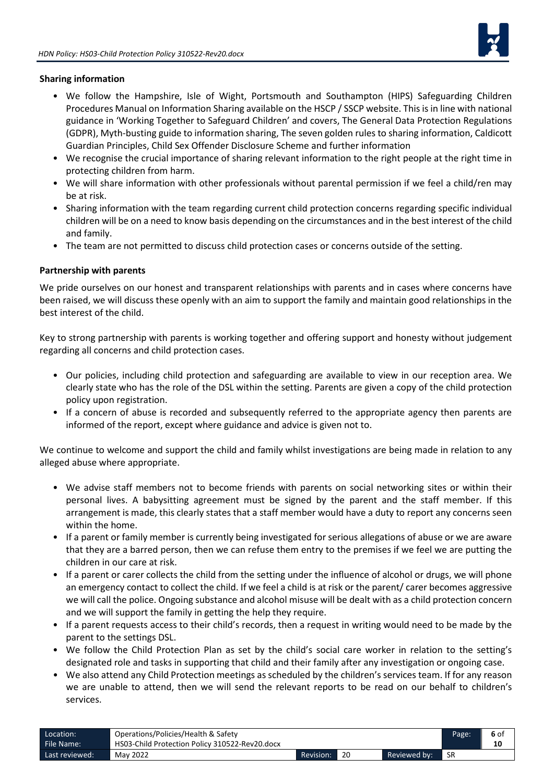

#### **Sharing information**

- We follow the Hampshire, Isle of Wight, Portsmouth and Southampton (HIPS) Safeguarding Children Procedures Manual on Information Sharing available on the HSCP / SSCP website. This is in line with national guidance in 'Working Together to Safeguard Children' and covers, The General Data Protection Regulations (GDPR), Myth-busting guide to information sharing, The seven golden rules to sharing information, Caldicott Guardian Principles, Child Sex Offender Disclosure Scheme and further information
- We recognise the crucial importance of sharing relevant information to the right people at the right time in protecting children from harm.
- We will share information with other professionals without parental permission if we feel a child/ren may be at risk.
- Sharing information with the team regarding current child protection concerns regarding specific individual children will be on a need to know basis depending on the circumstances and in the best interest of the child and family.
- The team are not permitted to discuss child protection cases or concerns outside of the setting.

#### **Partnership with parents**

We pride ourselves on our honest and transparent relationships with parents and in cases where concerns have been raised, we will discuss these openly with an aim to support the family and maintain good relationships in the best interest of the child.

Key to strong partnership with parents is working together and offering support and honesty without judgement regarding all concerns and child protection cases.

- Our policies, including child protection and safeguarding are available to view in our reception area. We clearly state who has the role of the DSL within the setting. Parents are given a copy of the child protection policy upon registration.
- If a concern of abuse is recorded and subsequently referred to the appropriate agency then parents are informed of the report, except where guidance and advice is given not to.

We continue to welcome and support the child and family whilst investigations are being made in relation to any alleged abuse where appropriate.

- We advise staff members not to become friends with parents on social networking sites or within their personal lives. A babysitting agreement must be signed by the parent and the staff member. If this arrangement is made, this clearly states that a staff member would have a duty to report any concerns seen within the home.
- If a parent or family member is currently being investigated for serious allegations of abuse or we are aware that they are a barred person, then we can refuse them entry to the premises if we feel we are putting the children in our care at risk.
- If a parent or carer collects the child from the setting under the influence of alcohol or drugs, we will phone an emergency contact to collect the child. If we feel a child is at risk or the parent/ carer becomes aggressive we will call the police. Ongoing substance and alcohol misuse will be dealt with as a child protection concern and we will support the family in getting the help they require.
- If a parent requests access to their child's records, then a request in writing would need to be made by the parent to the settings DSL.
- We follow the Child Protection Plan as set by the child's social care worker in relation to the setting's designated role and tasks in supporting that child and their family after any investigation or ongoing case.
- We also attend any Child Protection meetings as scheduled by the children's services team. If for any reason we are unable to attend, then we will send the relevant reports to be read on our behalf to children's services.

| Location:      | Operations/Policies/Health & Safety            |           |    |              | Page: | 6 of |
|----------------|------------------------------------------------|-----------|----|--------------|-------|------|
| File Name:     | HS03-Child Protection Policy 310522-Rev20.docx |           |    |              |       | 10   |
| Last reviewed: | May 2022                                       | Revision: | 20 | Reviewed by: | -SR   |      |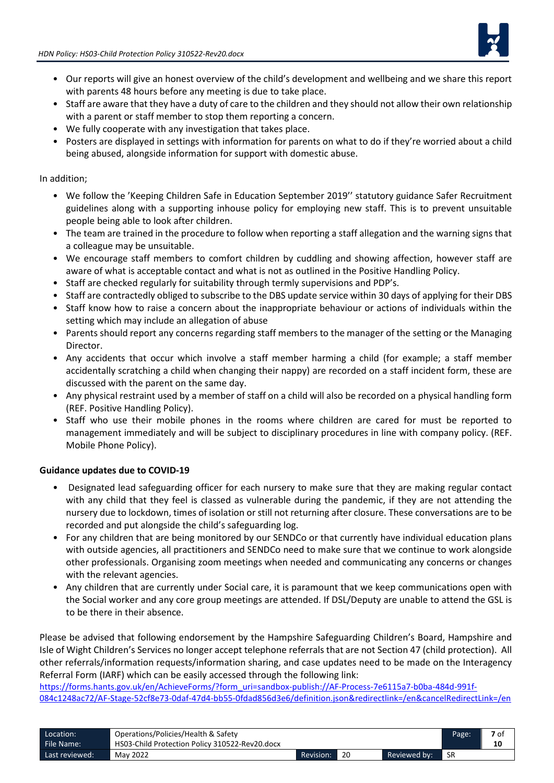

- Our reports will give an honest overview of the child's development and wellbeing and we share this report with parents 48 hours before any meeting is due to take place.
- Staff are aware that they have a duty of care to the children and they should not allow their own relationship with a parent or staff member to stop them reporting a concern.
- We fully cooperate with any investigation that takes place.
- Posters are displayed in settings with information for parents on what to do if they're worried about a child being abused, alongside information for support with domestic abuse.

#### In addition;

- We follow the 'Keeping Children Safe in Education September 2019'' statutory guidance Safer Recruitment guidelines along with a supporting inhouse policy for employing new staff. This is to prevent unsuitable people being able to look after children.
- The team are trained in the procedure to follow when reporting a staff allegation and the warning signs that a colleague may be unsuitable.
- We encourage staff members to comfort children by cuddling and showing affection, however staff are aware of what is acceptable contact and what is not as outlined in the Positive Handling Policy.
- Staff are checked regularly for suitability through termly supervisions and PDP's.
- Staff are contractedly obliged to subscribe to the DBS update service within 30 days of applying for their DBS
- Staff know how to raise a concern about the inappropriate behaviour or actions of individuals within the setting which may include an allegation of abuse
- Parents should report any concerns regarding staff members to the manager of the setting or the Managing Director.
- Any accidents that occur which involve a staff member harming a child (for example; a staff member accidentally scratching a child when changing their nappy) are recorded on a staff incident form, these are discussed with the parent on the same day.
- Any physical restraint used by a member of staff on a child will also be recorded on a physical handling form (REF. Positive Handling Policy).
- Staff who use their mobile phones in the rooms where children are cared for must be reported to management immediately and will be subject to disciplinary procedures in line with company policy. (REF. Mobile Phone Policy).

## **Guidance updates due to COVID-19**

- Designated lead safeguarding officer for each nursery to make sure that they are making regular contact with any child that they feel is classed as vulnerable during the pandemic, if they are not attending the nursery due to lockdown, times of isolation or still not returning after closure. These conversations are to be recorded and put alongside the child's safeguarding log.
- For any children that are being monitored by our SENDCo or that currently have individual education plans with outside agencies, all practitioners and SENDCo need to make sure that we continue to work alongside other professionals. Organising zoom meetings when needed and communicating any concerns or changes with the relevant agencies.
- Any children that are currently under Social care, it is paramount that we keep communications open with the Social worker and any core group meetings are attended. If DSL/Deputy are unable to attend the GSL is to be there in their absence.

Please be advised that following endorsement by the Hampshire Safeguarding Children's Board, Hampshire and Isle of Wight Children's Services no longer accept telephone referrals that are not Section 47 (child protection). All other referrals/information requests/information sharing, and case updates need to be made on the Interagency Referral Form (IARF) which can be easily accessed through the following link:

[https://forms.hants.gov.uk/en/AchieveForms/?form\\_uri=sandbox-publish://AF-Process-7e6115a7-b0ba-484d-991f-](https://forms.hants.gov.uk/en/AchieveForms/?form_uri=sandbox-publish://AF-Process-7e6115a7-b0ba-484d-991f-084c1248ac72/AF-Stage-52cf8e73-0daf-47d4-bb55-0fdad856d3e6/definition.json&redirectlink=/en&cancelRedirectLink=/en)[084c1248ac72/AF-Stage-52cf8e73-0daf-47d4-bb55-0fdad856d3e6/definition.json&redirectlink=/en&cancelRedirectLink=/en](https://forms.hants.gov.uk/en/AchieveForms/?form_uri=sandbox-publish://AF-Process-7e6115a7-b0ba-484d-991f-084c1248ac72/AF-Stage-52cf8e73-0daf-47d4-bb55-0fdad856d3e6/definition.json&redirectlink=/en&cancelRedirectLink=/en)

| Location:      | Operations/Policies/Health & Safety            |           |    |              | Page: | 7 of |
|----------------|------------------------------------------------|-----------|----|--------------|-------|------|
| File Name:     | HS03-Child Protection Policy 310522-Rev20.docx |           |    |              |       | 10   |
| Last reviewed: | May 2022                                       | Revision: | 20 | Reviewed by: | -SR   |      |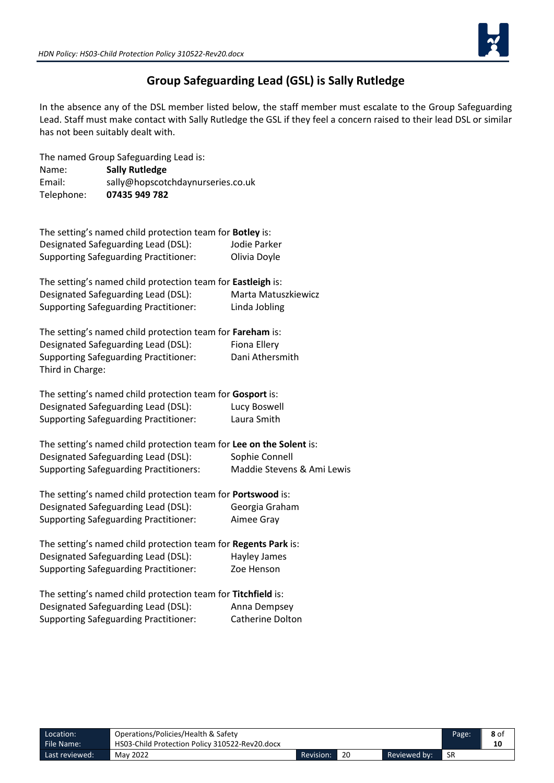

# **Group Safeguarding Lead (GSL) is Sally Rutledge**

In the absence any of the DSL member listed below, the staff member must escalate to the Group Safeguarding Lead. Staff must make contact with Sally Rutledge the GSL if they feel a concern raised to their lead DSL or similar has not been suitably dealt with.

|            | The named Group Safeguarding Lead is: |
|------------|---------------------------------------|
| Name:      | <b>Sally Rutledge</b>                 |
| Email:     | sally@hopscotchdaynurseries.co.uk     |
| Telephone: | 07435 949 782                         |

| The setting's named child protection team for <b>Botley</b> is: |              |
|-----------------------------------------------------------------|--------------|
| Designated Safeguarding Lead (DSL):                             | Jodie Parker |
| <b>Supporting Safeguarding Practitioner:</b>                    | Olivia Doyle |

| The setting's named child protection team for <b>Eastleigh</b> is: |                     |
|--------------------------------------------------------------------|---------------------|
| Designated Safeguarding Lead (DSL):                                | Marta Matuszkiewicz |
| <b>Supporting Safeguarding Practitioner:</b>                       | Linda Jobling       |

| The setting's named child protection team for Fareham is: |                 |
|-----------------------------------------------------------|-----------------|
| Designated Safeguarding Lead (DSL):                       | Fiona Ellery    |
| <b>Supporting Safeguarding Practitioner:</b>              | Dani Athersmith |
| Third in Charge:                                          |                 |

| The setting's named child protection team for Gosport is: |              |
|-----------------------------------------------------------|--------------|
| Designated Safeguarding Lead (DSL):                       | Lucy Boswell |
| <b>Supporting Safeguarding Practitioner:</b>              | Laura Smith  |

The setting's named child protection team for **Lee on the Solent** is: Designated Safeguarding Lead (DSL): Sophie Connell Supporting Safeguarding Practitioners: Maddie Stevens & Ami Lewis

| The setting's named child protection team for Portswood is: |                |
|-------------------------------------------------------------|----------------|
| Designated Safeguarding Lead (DSL):                         | Georgia Graham |
| <b>Supporting Safeguarding Practitioner:</b>                | Aimee Grav     |

| The setting's named child protection team for Regents Park is: |              |
|----------------------------------------------------------------|--------------|
| Designated Safeguarding Lead (DSL):                            | Hayley James |
| <b>Supporting Safeguarding Practitioner:</b>                   | Zoe Henson   |

| The setting's named child protection team for Titchfield is: |                  |
|--------------------------------------------------------------|------------------|
| Designated Safeguarding Lead (DSL):                          | Anna Dempsey     |
| <b>Supporting Safeguarding Practitioner:</b>                 | Catherine Dolton |

| Location:      | Operations/Policies/Health & Safety            |           |              | Page: | 8 of |
|----------------|------------------------------------------------|-----------|--------------|-------|------|
| File Name:     | HS03-Child Protection Policy 310522-Rev20.docx |           |              |       |      |
| Last reviewed: | May 2022                                       | Revision: | Reviewed by: | -SR   |      |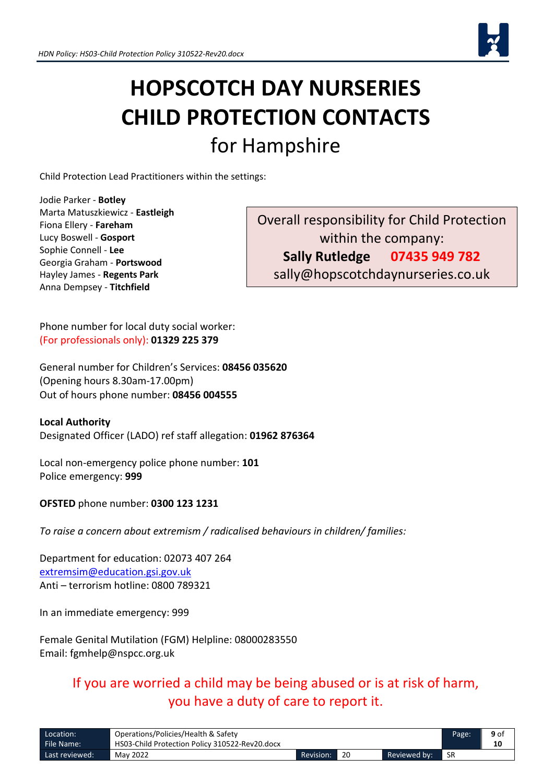

# **HOPSCOTCH DAY NURSERIES CHILD PROTECTION CONTACTS** for Hampshire

Child Protection Lead Practitioners within the settings:

Jodie Parker - **Botley** Marta Matuszkiewicz - **Eastleigh** Fiona Ellery - **Fareham** Lucy Boswell - **Gosport** Sophie Connell - **Lee** Georgia Graham - **Portswood** Hayley James - **Regents Park** Anna Dempsey - **Titchfield**

Overall responsibility for Child Protection within the company: **Sally Rutledge 07435 949 782** sally@hopscotchdaynurseries.co.uk

Phone number for local duty social worker: (For professionals only): **01329 225 379**

General number for Children's Services: **08456 035620** (Opening hours 8.30am-17.00pm) Out of hours phone number: **08456 004555**

**Local Authority**  Designated Officer (LADO) ref staff allegation: **01962 876364**

Local non-emergency police phone number: **101** Police emergency: **999**

**OFSTED** phone number: **0300 123 1231**

*To raise a concern about extremism / radicalised behaviours in children/ families:*

Department for education: 02073 407 264 [extremsim@education.gsi.gov.uk](mailto:extremsim@education.gsi.gov.uk) Anti – terrorism hotline: 0800 789321

In an immediate emergency: 999

Female Genital Mutilation (FGM) Helpline: 08000283550 Email: fgmhelp@nspcc.org.uk

> If you are worried a child may be being abused or is at risk of harm, you have a duty of care to report it.

| Location:      | Operations/Policies/Health & Safety            |                  |    |              | Page: | 9 of |
|----------------|------------------------------------------------|------------------|----|--------------|-------|------|
| File Name:     | HS03-Child Protection Policy 310522-Rev20.docx |                  |    |              |       | 10   |
| Last reviewed: | May 2022                                       | <b>Revision:</b> | 20 | Reviewed by: | -SR   |      |